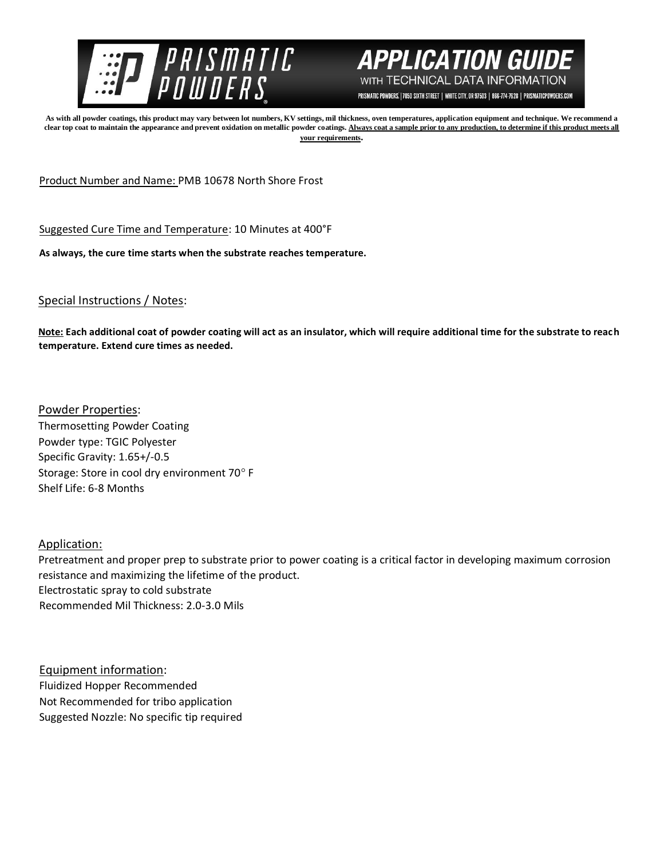



PRISMATIC POWDERS. | 7050 SIXTH STREET | WHITE CITY, OR 97503 | 866-774-7628 | PRISMATICPOWDERS.COM

**As with all powder coatings, this product may vary between lot numbers, KV settings, mil thickness, oven temperatures, application equipment and technique. We recommend a**  clear top coat to maintain the appearance and prevent oxidation on metallic powder coatings. Always coat a sample prior to any production, to determine if this product meets all **your requirements.** 

Product Number and Name: PMB 10678 North Shore Frost

Suggested Cure Time and Temperature: 10 Minutes at 400°F

**As always, the cure time starts when the substrate reaches temperature.**

Special Instructions / Notes:

**Note: Each additional coat of powder coating will act as an insulator, which will require additional time for the substrate to reach temperature. Extend cure times as needed.** 

Powder Properties: Thermosetting Powder Coating Powder type: TGIC Polyester Specific Gravity: 1.65+/-0.5 Storage: Store in cool dry environment 70° F Shelf Life: 6-8 Months

Application:

Pretreatment and proper prep to substrate prior to power coating is a critical factor in developing maximum corrosion resistance and maximizing the lifetime of the product. Electrostatic spray to cold substrate Recommended Mil Thickness: 2.0-3.0 Mils

Equipment information: Fluidized Hopper Recommended Not Recommended for tribo application Suggested Nozzle: No specific tip required